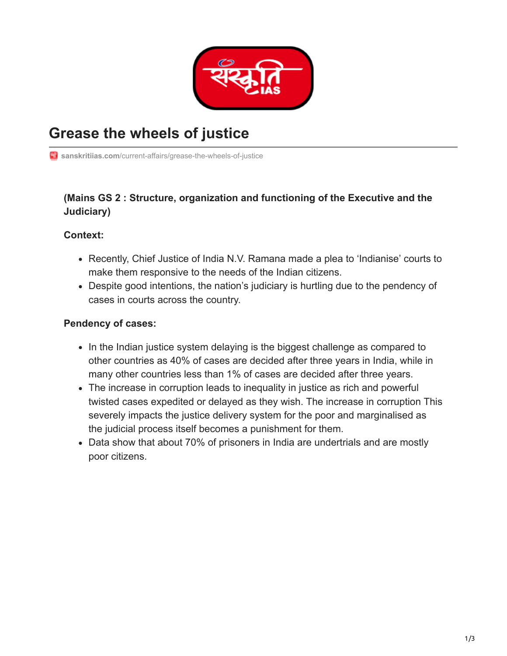

# **Grease the wheels of justice**

**Ti** sanskritiias.com[/current-affairs/grease-the-wheels-of-justice](https://www.sanskritiias.com/current-affairs/grease-the-wheels-of-justice)

## **(Mains GS 2 : Structure, organization and functioning of the Executive and the Judiciary)**

#### **Context:**

- Recently, Chief Justice of India N.V. Ramana made a plea to 'Indianise' courts to make them responsive to the needs of the Indian citizens.
- Despite good intentions, the nation's judiciary is hurtling due to the pendency of cases in courts across the country.

#### **Pendency of cases:**

- In the Indian justice system delaying is the biggest challenge as compared to other countries as 40% of cases are decided after three years in India, while in many other countries less than 1% of cases are decided after three years.
- The increase in corruption leads to inequality in justice as rich and powerful twisted cases expedited or delayed as they wish. The increase in corruption This severely impacts the justice delivery system for the poor and marginalised as the judicial process itself becomes a punishment for them.
- Data show that about 70% of prisoners in India are undertrials and are mostly poor citizens.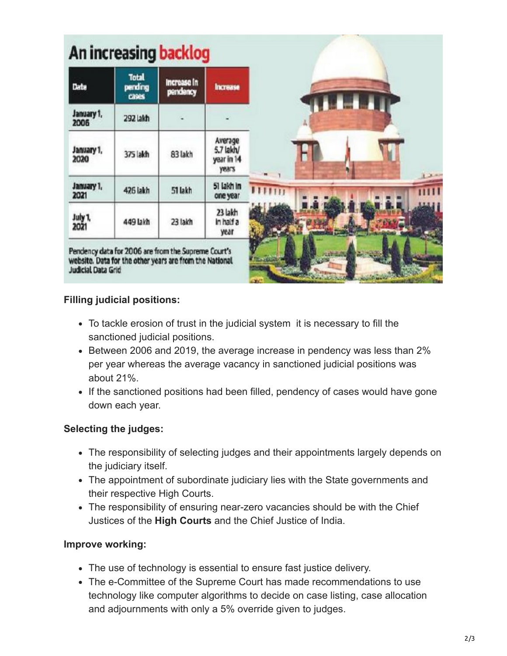| Date               | <b>Total</b><br>pending<br>cases | Increase in<br>pendency | <b>Increase</b>                             |
|--------------------|----------------------------------|-------------------------|---------------------------------------------|
| January 1,<br>2006 | 292 lakh                         |                         |                                             |
| January 1,<br>2020 | 375 lakh                         | 83 lakh                 | Average<br>5.7 lakh/<br>year in 14<br>years |
| January 1,<br>2021 | 426 lakh                         | 51 lakh                 | 51 lakh in<br>one year                      |
| July 1,<br>2021    | 449 lakh                         | 23 lakh                 | 23 lakh<br>in half a<br>year                |

## **Filling judicial positions:**

- To tackle erosion of trust in the judicial system it is necessary to fill the sanctioned judicial positions.
- Between 2006 and 2019, the average increase in pendency was less than 2% per year whereas the average vacancy in sanctioned judicial positions was about 21%.
- If the sanctioned positions had been filled, pendency of cases would have gone down each year.

#### **Selecting the judges:**

- The responsibility of selecting judges and their appointments largely depends on the judiciary itself.
- The appointment of subordinate judiciary lies with the State governments and their respective High Courts.
- The responsibility of ensuring near-zero vacancies should be with the Chief Justices of the **High Courts** and the Chief Justice of India.

#### **Improve working:**

- The use of technology is essential to ensure fast justice delivery.
- The e-Committee of the Supreme Court has made recommendations to use technology like computer algorithms to decide on case listing, case allocation and adjournments with only a 5% override given to judges.